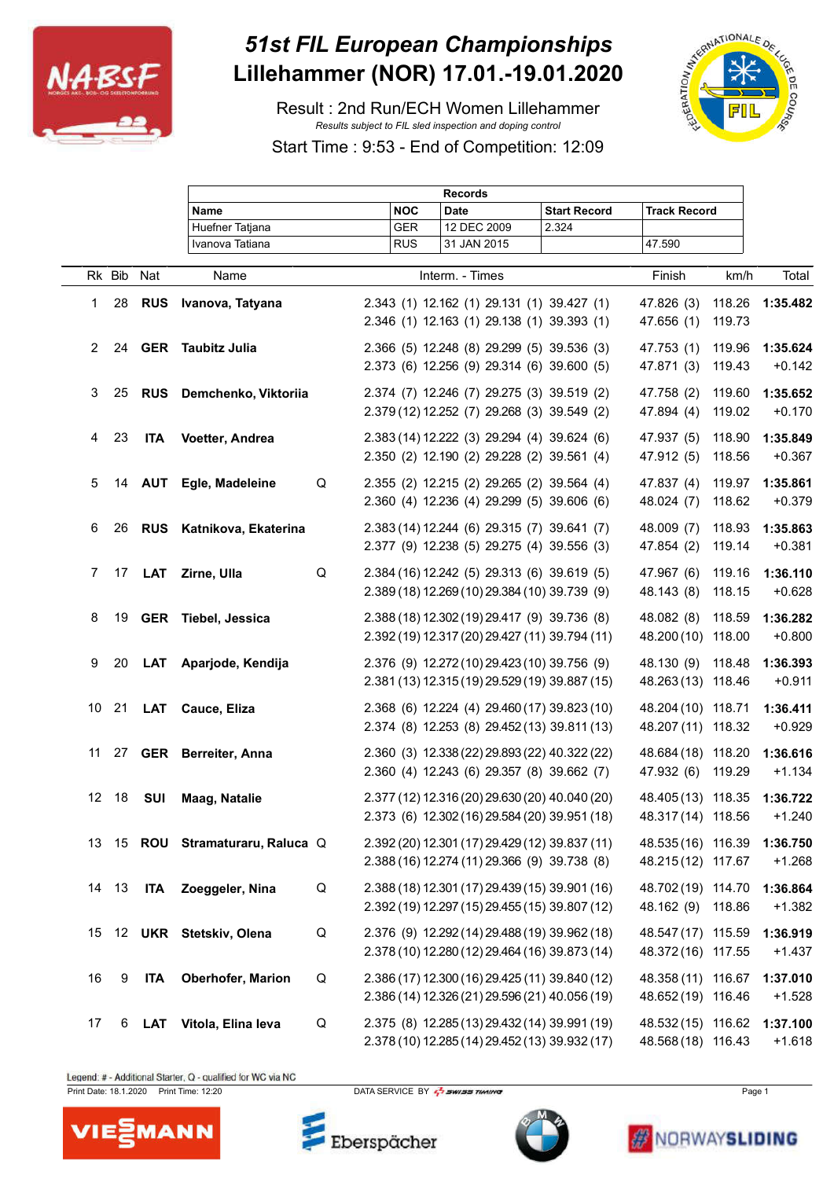

## *51st FIL European Championships* **Lillehammer (NOR) 17.01.-19.01.2020**

Result : 2nd Run/ECH Women Lillehammer *Results subject to FIL sled inspection and doping control*

Start Time : 9:53 - End of Competition: 12:09



|                |        |            |                               |   |            | <b>Records</b>                                 |                     |                     |        |          |
|----------------|--------|------------|-------------------------------|---|------------|------------------------------------------------|---------------------|---------------------|--------|----------|
|                |        |            | <b>Name</b>                   |   | <b>NOC</b> | <b>Date</b>                                    | <b>Start Record</b> | <b>Track Record</b> |        |          |
|                |        |            | Huefner Tatjana               |   | <b>GER</b> | 12 DEC 2009                                    | 2.324               |                     |        |          |
|                |        |            | Ivanova Tatiana               |   | <b>RUS</b> | 31 JAN 2015                                    |                     | 47.590              |        |          |
|                | Rk Bib | Nat        | Name                          |   |            | Interm. - Times                                |                     | Finish              | km/h   | Total    |
|                |        |            |                               |   |            |                                                |                     |                     |        |          |
| 1              | 28     | <b>RUS</b> | Ivanova, Tatyana              |   |            | 2.343 (1) 12.162 (1) 29.131 (1) 39.427 (1)     |                     | 47.826 (3)          | 118.26 | 1:35.482 |
|                |        |            |                               |   |            | 2.346 (1) 12.163 (1) 29.138 (1) 39.393 (1)     |                     | 47.656 (1)          | 119.73 |          |
| $\overline{2}$ | 24     |            | <b>GER</b> Taubitz Julia      |   |            | 2.366 (5) 12.248 (8) 29.299 (5) 39.536 (3)     |                     | 47.753 (1)          | 119.96 | 1:35.624 |
|                |        |            |                               |   |            | 2.373 (6) 12.256 (9) 29.314 (6) 39.600 (5)     |                     | 47.871 (3)          | 119.43 | $+0.142$ |
| 3              | 25     |            | RUS Demchenko, Viktoriia      |   |            | 2.374 (7) 12.246 (7) 29.275 (3) 39.519 (2)     |                     | 47.758 (2)          | 119.60 | 1:35.652 |
|                |        |            |                               |   |            | 2.379 (12) 12.252 (7) 29.268 (3) 39.549 (2)    |                     | 47.894 (4)          | 119.02 | $+0.170$ |
|                |        |            |                               |   |            |                                                |                     |                     |        |          |
| 4              | 23     | <b>ITA</b> | Voetter, Andrea               |   |            | 2.383 (14) 12.222 (3) 29.294 (4) 39.624 (6)    |                     | 47.937 (5)          | 118.90 | 1:35.849 |
|                |        |            |                               |   |            | 2.350 (2) 12.190 (2) 29.228 (2) 39.561 (4)     |                     | 47.912 (5)          | 118.56 | $+0.367$ |
| 5              | 14     | <b>AUT</b> | Egle, Madeleine               | Q |            | 2.355 (2) 12.215 (2) 29.265 (2) 39.564 (4)     |                     | 47.837 (4)          | 119.97 | 1:35.861 |
|                |        |            |                               |   |            | 2.360 (4) 12.236 (4) 29.299 (5) 39.606 (6)     |                     | 48.024 (7)          | 118.62 | $+0.379$ |
|                |        |            |                               |   |            |                                                |                     |                     |        |          |
| 6              | 26     |            | RUS Katnikova, Ekaterina      |   |            | 2.383 (14) 12.244 (6) 29.315 (7) 39.641 (7)    |                     | 48.009 (7)          | 118.93 | 1:35.863 |
|                |        |            |                               |   |            | 2.377 (9) 12.238 (5) 29.275 (4) 39.556 (3)     |                     | 47.854 (2)          | 119.14 | $+0.381$ |
| 7              | 17     | <b>LAT</b> | Zirne, Ulla                   | Q |            | 2.384 (16) 12.242 (5) 29.313 (6) 39.619 (5)    |                     | 47.967 (6)          | 119.16 | 1:36.110 |
|                |        |            |                               |   |            | 2.389 (18) 12.269 (10) 29.384 (10) 39.739 (9)  |                     | 48.143 (8)          | 118.15 | $+0.628$ |
|                |        |            |                               |   |            |                                                |                     |                     |        |          |
| 8              | 19     |            | GER Tiebel, Jessica           |   |            | 2.388 (18) 12.302 (19) 29.417 (9) 39.736 (8)   |                     | 48.082 (8)          | 118.59 | 1:36.282 |
|                |        |            |                               |   |            | 2.392 (19) 12.317 (20) 29.427 (11) 39.794 (11) |                     | 48.200 (10) 118.00  |        | $+0.800$ |
| 9              | 20     | LAT        | Aparjode, Kendija             |   |            | 2.376 (9) 12.272 (10) 29.423 (10) 39.756 (9)   |                     | 48.130 (9)          | 118.48 | 1:36.393 |
|                |        |            |                               |   |            | 2.381 (13) 12.315 (19) 29.529 (19) 39.887 (15) |                     | 48.263 (13) 118.46  |        | $+0.911$ |
| 10             | 21     |            | LAT Cauce, Eliza              |   |            | 2.368 (6) 12.224 (4) 29.460 (17) 39.823 (10)   |                     | 48.204 (10) 118.71  |        | 1:36.411 |
|                |        |            |                               |   |            | 2.374 (8) 12.253 (8) 29.452 (13) 39.811 (13)   |                     | 48.207 (11) 118.32  |        | $+0.929$ |
|                |        |            |                               |   |            |                                                |                     |                     |        |          |
|                |        |            | 11 27 GER Berreiter, Anna     |   |            | 2.360 (3) 12.338 (22) 29.893 (22) 40.322 (22)  |                     | 48.684 (18) 118.20  |        | 1:36.616 |
|                |        |            |                               |   |            | 2.360 (4) 12.243 (6) 29.357 (8) 39.662 (7)     |                     | 47.932 (6)          | 119.29 | $+1.134$ |
|                | 12 18  | <b>SUI</b> | <b>Maag, Natalie</b>          |   |            | 2.377 (12) 12.316 (20) 29.630 (20) 40.040 (20) |                     | 48.405 (13) 118.35  |        | 1:36.722 |
|                |        |            |                               |   |            | 2.373 (6) 12.302 (16) 29.584 (20) 39.951 (18)  |                     | 48.317 (14) 118.56  |        | $+1.240$ |
|                |        |            |                               |   |            |                                                |                     |                     |        |          |
| 13             |        |            | 15 ROU Stramaturaru, Raluca Q |   |            | 2.392 (20) 12.301 (17) 29.429 (12) 39.837 (11) |                     | 48.535 (16) 116.39  |        | 1:36.750 |
|                |        |            |                               |   |            | 2.388 (16) 12.274 (11) 29.366 (9) 39.738 (8)   |                     | 48.215 (12) 117.67  |        | $+1.268$ |
|                | 14 13  | <b>ITA</b> | Zoeggeler, Nina               | Q |            | 2.388 (18) 12.301 (17) 29.439 (15) 39.901 (16) |                     | 48.702 (19) 114.70  |        | 1:36.864 |
|                |        |            |                               |   |            | 2.392 (19) 12.297 (15) 29.455 (15) 39.807 (12) |                     | 48.162 (9) 118.86   |        | $+1.382$ |
|                |        |            |                               |   |            |                                                |                     |                     |        |          |
| 15             |        |            | 12 UKR Stetskiv, Olena        | Q |            | 2.376 (9) 12.292 (14) 29.488 (19) 39.962 (18)  |                     | 48.547 (17) 115.59  |        | 1:36.919 |
|                |        |            |                               |   |            | 2.378 (10) 12.280 (12) 29.464 (16) 39.873 (14) |                     | 48.372 (16) 117.55  |        | $+1.437$ |
| 16             | 9      | <b>ITA</b> | Oberhofer, Marion             | Q |            | 2.386 (17) 12.300 (16) 29.425 (11) 39.840 (12) |                     | 48.358 (11) 116.67  |        | 1:37.010 |
|                |        |            |                               |   |            | 2.386 (14) 12.326 (21) 29.596 (21) 40.056 (19) |                     | 48.652 (19) 116.46  |        | $+1.528$ |
| 17             | 6      | <b>LAT</b> | Vitola, Elina leva            | Q |            | 2.375 (8) 12.285 (13) 29.432 (14) 39.991 (19)  |                     | 48.532 (15) 116.62  |        | 1:37.100 |
|                |        |            |                               |   |            | 2.378 (10) 12.285 (14) 29.452 (13) 39.932 (17) |                     | 48.568 (18) 116.43  |        | $+1.618$ |
|                |        |            |                               |   |            |                                                |                     |                     |        |          |

Legend: # - Additional Starter, Q - qualified for WC via NC



Eberspächer